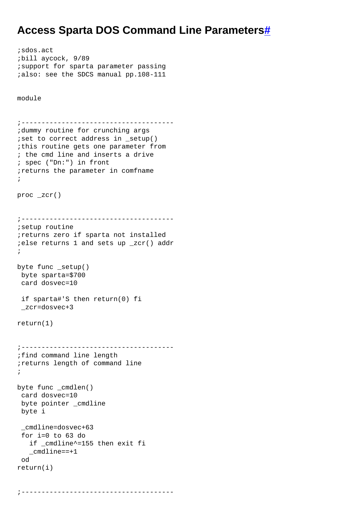## **Access Sparta DOS Command Line Parameter[s#](http://[fd00::119]:8080/wiki/#section-Access+SpartaDOS+commandline+parameters-AccessSpartaDOSCommandLineParameters)**

```
;sdos.act
;bill aycock, 9/89
;support for sparta parameter passing
;also: see the SDCS manual pp.108-111
module
;--------------------------------------
;dummy routine for crunching args
;set to correct address in _setup()
;this routine gets one parameter from
; the cmd line and inserts a drive
; spec ("Dn:") in front
;returns the parameter in comfname
;
proc _zcr()
;--------------------------------------
;setup routine
;returns zero if sparta not installed
;else returns 1 and sets up _zcr() addr
;
byte func _setup()
 byte sparta=$700
  card dosvec=10
 if sparta#'S then return(0) fi
  _zcr=dosvec+3
return(1)
;--------------------------------------
;find command line length
;returns length of command line
;
byte func _cmdlen()
  card dosvec=10
 byte pointer _cmdline
 byte i
  _cmdline=dosvec+63
  for i=0 to 63 do
    if _cmdline^=155 then exit fi
    _cmdline==+1
  od
return(i)
```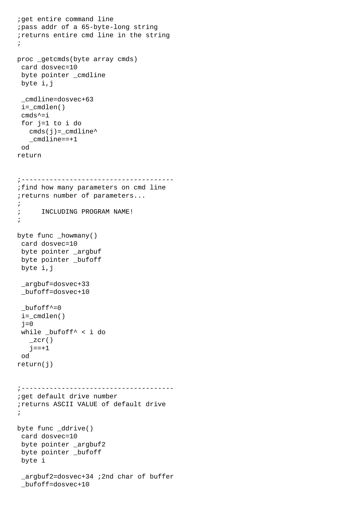```
;get entire command line
;pass addr of a 65-byte-long string
;returns entire cmd line in the string
;
proc _getcmds(byte array cmds)
  card dosvec=10
 byte pointer _cmdline
 byte i,j
  _cmdline=dosvec+63
 i= cmdlen()
  cmds^=i
  for j=1 to i do
   cmds(j) = _cmdline^* _cmdline==+1
  od
return
;--------------------------------------
;find how many parameters on cmd line
;returns number of parameters...
;
; INCLUDING PROGRAM NAME!
;
byte func _howmany()
 card dosvec=10
 byte pointer _argbuf
 byte pointer _bufoff
 byte i,j
  _argbuf=dosvec+33
  _bufoff=dosvec+10
 _bufoff<sup>^=0</sup>
  i=_cmdlen()
 i=0 while _bufoff^ < i do
   \_zcr()j == + 1 od
return(j)
;--------------------------------------
;get default drive number
;returns ASCII VALUE of default drive
;
byte func _ddrive()
  card dosvec=10
 byte pointer _argbuf2
 byte pointer _bufoff
 byte i
  _argbuf2=dosvec+34 ;2nd char of buffer
  _bufoff=dosvec+10
```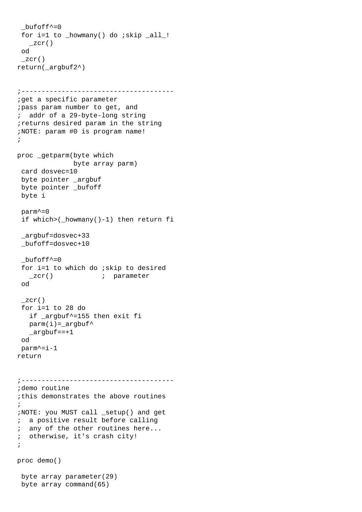```
_bufoff<sup>\sim=0</sup>
 for i=1 to _howmany() do ;skip _all_!
   \_zcr() od
  _zcr()
return(_argbuf2^)
;--------------------------------------
;get a specific parameter
;pass param number to get, and
; addr of a 29-byte-long string
;returns desired param in the string
;NOTE: param #0 is program name!
;
proc _getparm(byte which
               byte array parm)
 card dosvec=10
 byte pointer _argbuf
 byte pointer _bufoff
 byte i
 parm^=0
  if which>(_howmany()-1) then return fi
  _argbuf=dosvec+33
  _bufoff=dosvec+10
 _bufoff<sup>\sim=0</sup>
  for i=1 to which do ;skip to desired
   _zcr() i parameter
  od
 \_zcr() for i=1 to 28 do
   if _argbuf^=155 then exit fi
   param(i)=argbuf^*_{\text{argbuf}}==+1
  od
  parm^=i-1
return
;--------------------------------------
;demo routine
;this demonstrates the above routines
;
;NOTE: you MUST call _setup() and get
; a positive result before calling
; any of the other routines here...
; otherwise, it's crash city!
;
proc demo()
 byte array parameter(29)
 byte array command(65)
```